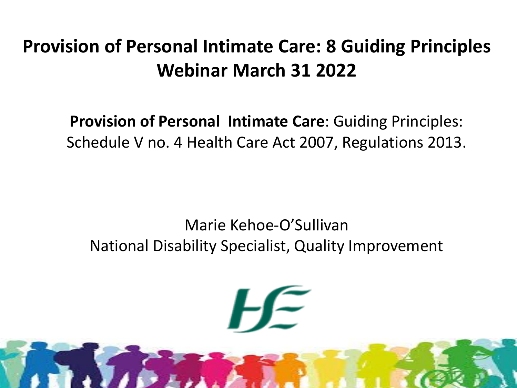#### **Provision of Personal Intimate Care: 8 Guiding Principles Webinar March 31 2022**

**Provision of Personal Intimate Care**: Guiding Principles: Schedule V no. 4 Health Care Act 2007, Regulations 2013.

#### Marie Kehoe-O'Sullivan National Disability Specialist, Quality Improvement

1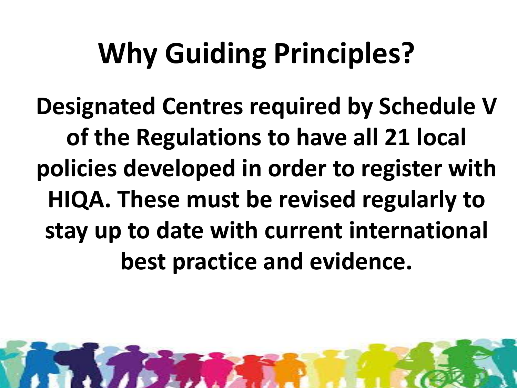# **Why Guiding Principles?**

**Designated Centres required by Schedule V of the Regulations to have all 21 local policies developed in order to register with HIQA. These must be revised regularly to stay up to date with current international best practice and evidence.** 

2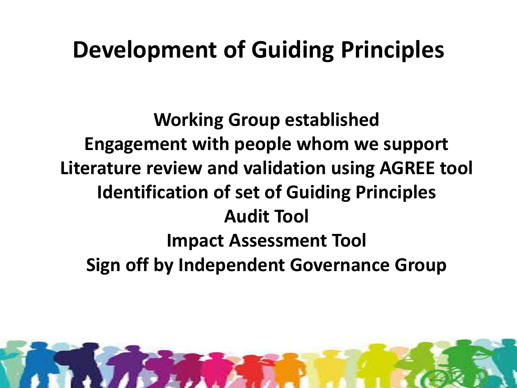### **Development of Guiding Principles**

**Working Group established Engagement with people whom we support Literature review and validation using AGREE tool Identification of set of Guiding Principles Audit Tool Impact Assessment Tool Sign off by Independent Governance Group**

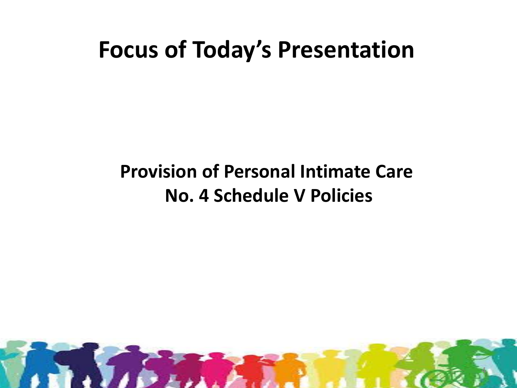#### **Focus of Today's Presentation**

#### **Provision of Personal Intimate Care No. 4 Schedule V Policies**

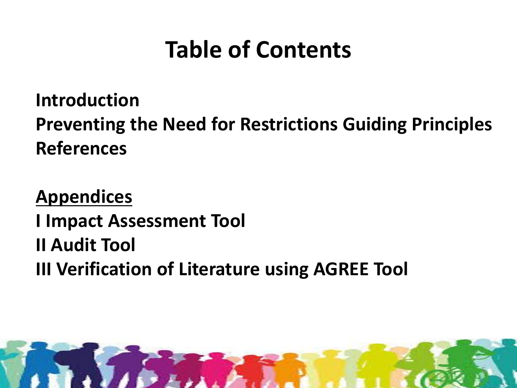### **Table of Contents**

**Introduction Preventing the Need for Restrictions Guiding Principles References**

**Appendices I Impact Assessment Tool II Audit Tool III Verification of Literature using AGREE Tool**

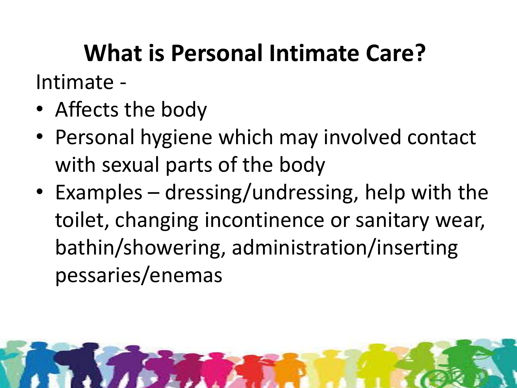#### **What is Personal Intimate Care?** Intimate -

- Affects the body
- Personal hygiene which may involved contact with sexual parts of the body
- Examples dressing/undressing, help with the toilet, changing incontinence or sanitary wear, bathin/showering, administration/inserting pessaries/enemas

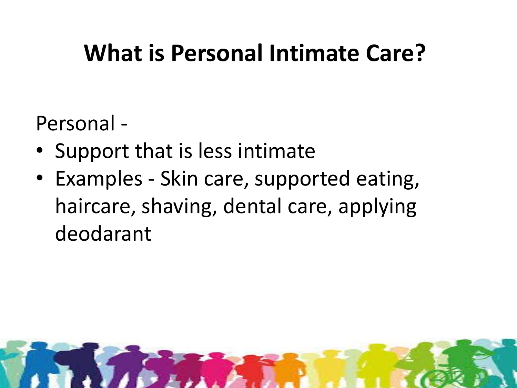### **What is Personal Intimate Care?**

Personal -

- Support that is less intimate
- Examples Skin care, supported eating, haircare, shaving, dental care, applying deodarant

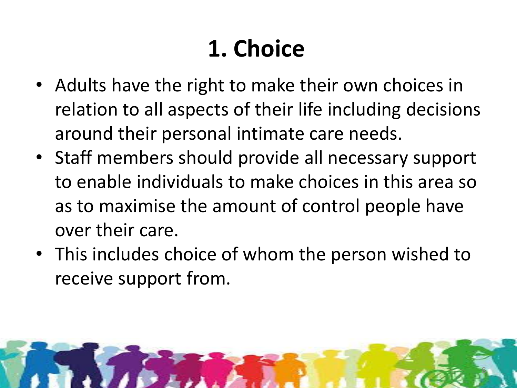### **1. Choice**

- Adults have the right to make their own choices in relation to all aspects of their life including decisions around their personal intimate care needs.
- Staff members should provide all necessary support to enable individuals to make choices in this area so as to maximise the amount of control people have over their care.
- This includes choice of whom the person wished to receive support from.

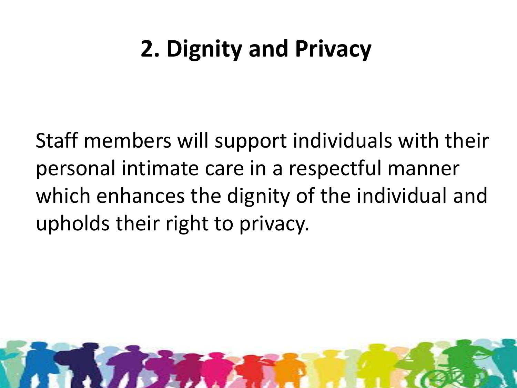### **2. Dignity and Privacy**

Staff members will support individuals with their personal intimate care in a respectful manner which enhances the dignity of the individual and upholds their right to privacy.

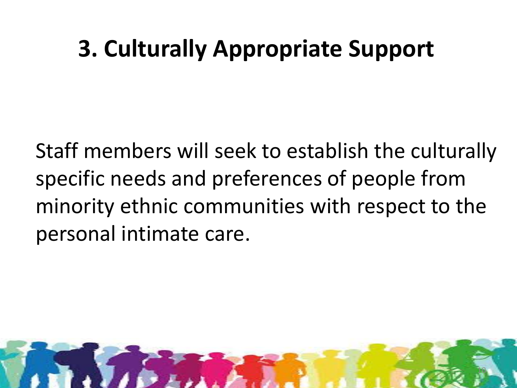### **3. Culturally Appropriate Support**

Staff members will seek to establish the culturally specific needs and preferences of people from minority ethnic communities with respect to the personal intimate care.

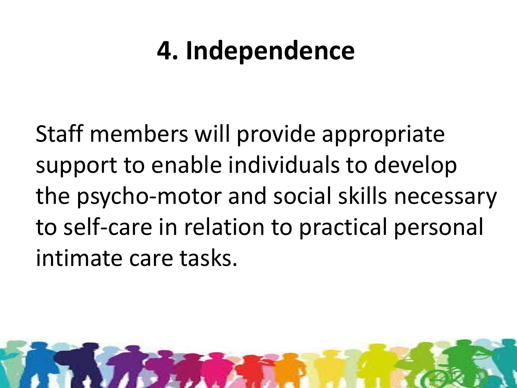## **4. Independence**

Staff members will provide appropriate support to enable individuals to develop the psycho-motor and social skills necessary to self-care in relation to practical personal intimate care tasks.

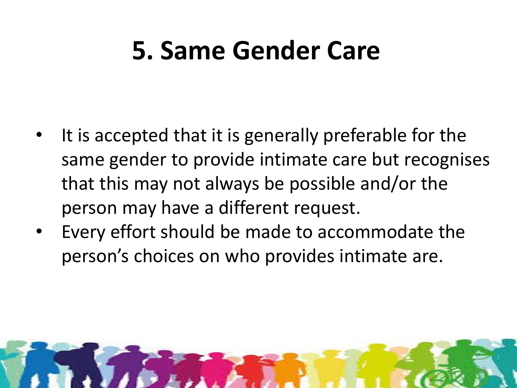### **5. Same Gender Care**

- It is accepted that it is generally preferable for the same gender to provide intimate care but recognises that this may not always be possible and/or the person may have a different request.
- Every effort should be made to accommodate the person's choices on who provides intimate are.

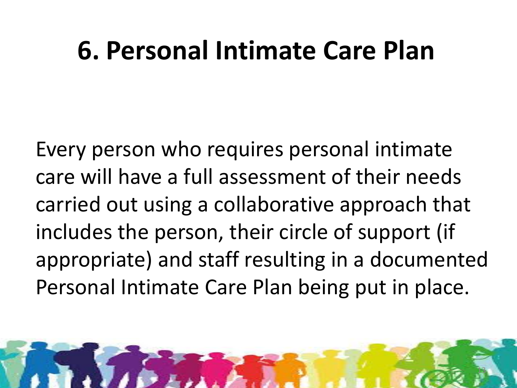### **6. Personal Intimate Care Plan**

Every person who requires personal intimate care will have a full assessment of their needs carried out using a collaborative approach that includes the person, their circle of support (if appropriate) and staff resulting in a documented Personal Intimate Care Plan being put in place.

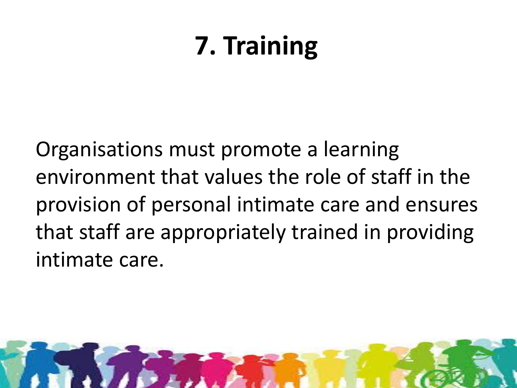## **7. Training**

Organisations must promote a learning environment that values the role of staff in the provision of personal intimate care and ensures that staff are appropriately trained in providing intimate care.

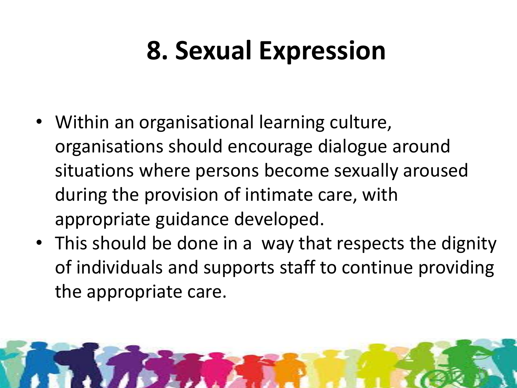## **8. Sexual Expression**

- Within an organisational learning culture, organisations should encourage dialogue around situations where persons become sexually aroused during the provision of intimate care, with appropriate guidance developed.
- This should be done in a way that respects the dignity of individuals and supports staff to continue providing the appropriate care.

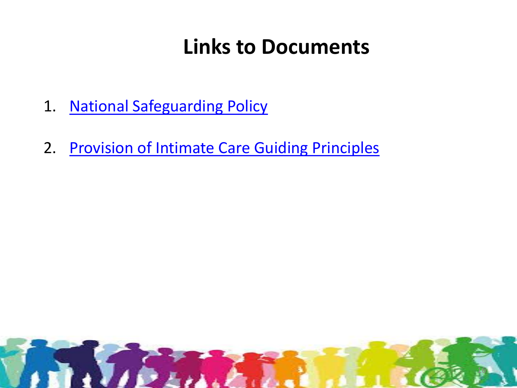#### **Links to Documents**

- 1. [National Safeguarding Policy](https://www.hse.ie/eng/services/publications/corporate/personsatriskofabuse.pdf)
- 2. [Provision of Intimate Care Guiding Principles](http://www.fedvol.ie/_fileupload/quality-and-standards/HSE Guidance Docs/4 Provision of Intimate Care.pdf)

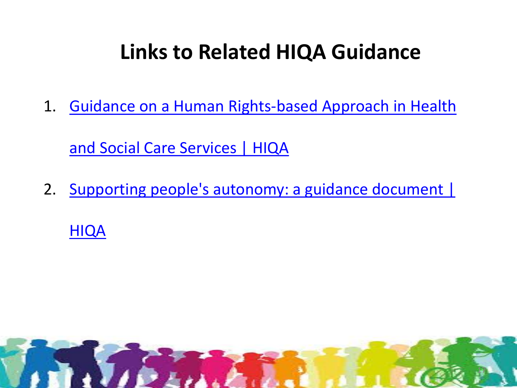#### **Links to Related HIQA Guidance**

1. [Guidance on a Human Rights-based Approach in Health](https://www.hiqa.ie/reports-and-publications/guide/guidance-human-rights-based-approach-health-and-social-care-services) 

[and Social Care Services | HIQA](https://www.hiqa.ie/reports-and-publications/guide/guidance-human-rights-based-approach-health-and-social-care-services)

2. [Supporting people's autonomy: a guidance document |](https://www.hiqa.ie/reports-and-publications/guide/supporting-peoples-autonomy-guidance-document) 

[HIQA](https://www.hiqa.ie/reports-and-publications/guide/supporting-peoples-autonomy-guidance-document)

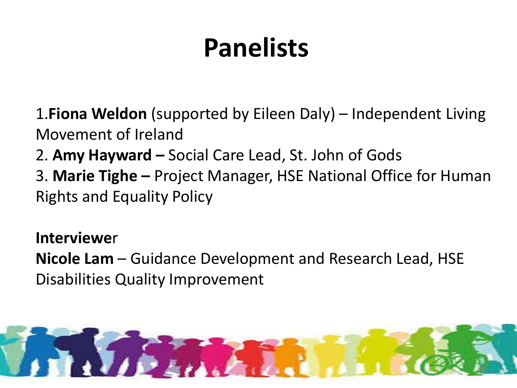## **Panelists**

1.**Fiona Weldon** (supported by Eileen Daly) – Independent Living Movement of Ireland

- 2. **Amy Hayward –** Social Care Lead, St. John of Gods
- 3. **Marie Tighe –** Project Manager, HSE National Office for Human Rights and Equality Policy

**Interviewe**r

**Nicole Lam** – Guidance Development and Research Lead, HSE Disabilities Quality Improvement